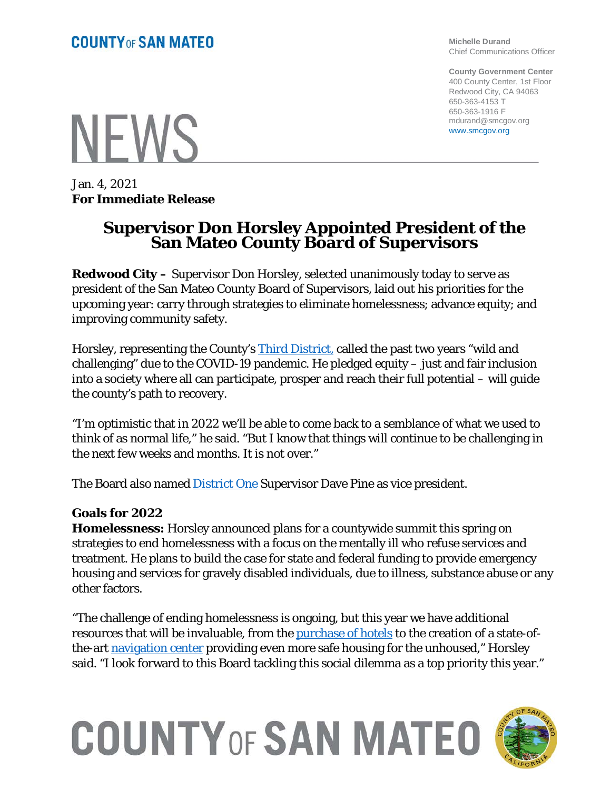**NFWS** 

Jan. 4, 2021 **For Immediate Release**

## **Supervisor Don Horsley Appointed President of the San Mateo County Board of Supervisors**

**Redwood City –** Supervisor Don Horsley, selected unanimously today to serve as president of the San Mateo County Board of Supervisors, laid out his priorities for the upcoming year: carry through strategies to eliminate homelessness; advance equity; and improving community safety.

Horsley, representing the County's **Third District**, called the past two years "wild and challenging" due to the COVID-19 pandemic. He pledged equity – just and fair inclusion into a society where all can participate, prosper and reach their full potential – will guide the county's path to recovery.

"I'm optimistic that in 2022 we'll be able to come back to a semblance of what we used to think of as normal life," he said. "But I know that things will continue to be challenging in the next few weeks and months. It is not over."

The Board also named **District One** Supervisor Dave Pine as vice president.

## **Goals for 2022**

**Homelessness:** Horsley announced plans for a countywide summit this spring on strategies to end homelessness with a focus on the mentally ill who refuse services and treatment. He plans to build the case for state and federal funding to provide emergency housing and services for gravely disabled individuals, due to illness, substance abuse or any other factors.

"The challenge of ending homelessness is ongoing, but this year we have additional resources that will be invaluable, from the [purchase of hotels](https://cmo.smcgov.org/press-release/state-awards-county-68-million-house-homeless) to the creation of a state-ofthe-art [navigation center](https://cmo.smcgov.org/press-release/sept-28-2021-san-mateo-county%E2%80%99s-first-homeless-navigation-center-step-closer) providing even more safe housing for the unhoused," Horsley said. "I look forward to this Board tackling this social dilemma as a top priority this year."

## **COUNTY OF SAN MATEO**



**Michelle Durand** Chief Communications Officer

**County Government Center** 400 County Center, 1st Floor Redwood City, CA 94063 650-363-4153 T 650-363-1916 F mdurand@smcgov.org www.smcgov.org